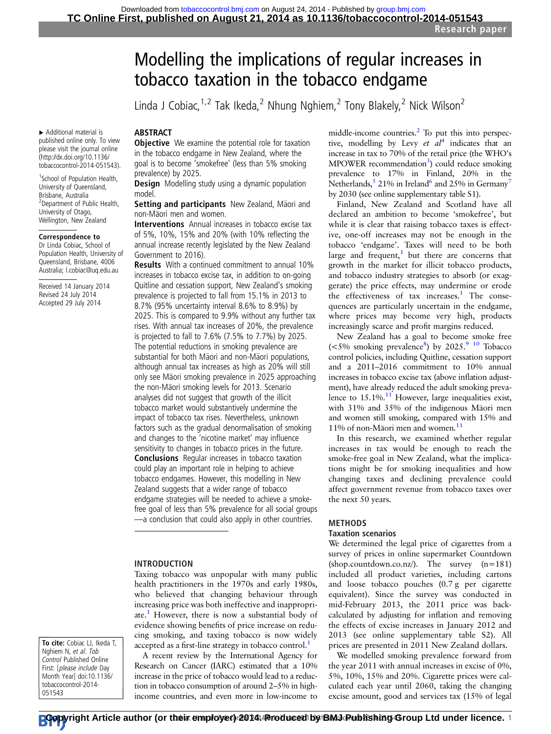# Modelling the implications of regular increases in tobacco taxation in the tobacco endgame

Linda J Cobiac,  $1.2$  Tak Ikeda, <sup>2</sup> Nhung Nghiem, <sup>2</sup> Tony Blakely, <sup>2</sup> Nick Wilson<sup>2</sup>

# **ABSTRACT**

**Objective** We examine the potential role for taxation in the tobacco endgame in New Zealand, where the goal is to become 'smokefree' (less than 5% smoking prevalence) by 2025.

**Design** Modelling study using a dynamic population model.

Setting and participants New Zealand, Maori and non-Maori men and women.

Interventions Annual increases in tobacco excise tax of 5%, 10%, 15% and 20% (with 10% reflecting the annual increase recently legislated by the New Zealand Government to 2016).

Results With a continued commitment to annual 10% increases in tobacco excise tax, in addition to on-going Quitline and cessation support, New Zealand's smoking prevalence is projected to fall from 15.1% in 2013 to 8.7% (95% uncertainty interval 8.6% to 8.9%) by 2025. This is compared to 9.9% without any further tax rises. With annual tax increases of 20%, the prevalence is projected to fall to 7.6% (7.5% to 7.7%) by 2025. The potential reductions in smoking prevalence are substantial for both Maori and non-Maori populations, although annual tax increases as high as 20% will still only see Maori smoking prevalence in 2025 approaching the non-Maori smoking levels for 2013. Scenario analyses did not suggest that growth of the illicit tobacco market would substantively undermine the impact of tobacco tax rises. Nevertheless, unknown factors such as the gradual denormalisation of smoking and changes to the 'nicotine market' may influence sensitivity to changes in tobacco prices in the future. Conclusions Regular increases in tobacco taxation could play an important role in helping to achieve tobacco endgames. However, this modelling in New Zealand suggests that a wider range of tobacco endgame strategies will be needed to achieve a smokefree goal of less than 5% prevalence for all social groups —a conclusion that could also apply in other countries.

#### INTRODUCTION

Taxing tobacco was unpopular with many public health practitioners in the 1970s and early 1980s, who believed that changing behaviour through increasing price was both ineffective and inappropri-ate.<sup>[1](#page-5-0)</sup> However, there is now a substantial body of evidence showing benefits of price increase on reducing smoking, and taxing tobacco is now widely accepted as a first-line strategy in tobacco control. $<sup>1</sup>$  $<sup>1</sup>$  $<sup>1</sup>$ </sup>

A recent review by the International Agency for Research on Cancer (IARC) estimated that a 10% increase in the price of tobacco would lead to a reduction in tobacco consumption of around 2–5% in highincome countries, and even more in low-income to

middle-income countries. $^{2}$  To put this into perspective, modelling by Levy et  $al<sup>4</sup>$  $al<sup>4</sup>$  $al<sup>4</sup>$  indicates that an increase in tax to 70% of the retail price (the WHO's MPOWER recommendation<sup>3</sup>) could reduce smoking prevalence to 17% in Finland, 20% in the Netherlands,  $5\frac{21\% \text{ in Ireland}}{6}$  $5\frac{21\% \text{ in Ireland}}{6}$  and 25% in Germany<sup>[7](#page-5-0)</sup> by 2030 (see online supplementary table S1).

Finland, New Zealand and Scotland have all declared an ambition to become 'smokefree', but while it is clear that raising tobacco taxes is effective, one-off increases may not be enough in the tobacco 'endgame'. Taxes will need to be both large and frequent, $1$  but there are concerns that growth in the market for illicit tobacco products, and tobacco industry strategies to absorb (or exaggerate) the price effects, may undermine or erode the effectiveness of  $tax$  increases.<sup>1</sup> The consequences are particularly uncertain in the endgame, where prices may become very high, products increasingly scarce and profit margins reduced.

New Zealand has a goal to become smoke free (<5% smoking prevalence<sup>[8](#page-5-0)</sup>) by 2025.<sup>9</sup> <sup>10</sup> Tobacco control policies, including Quitline, cessation support and a 2011–2016 commitment to 10% annual increases in tobacco excise tax (above inflation adjustment), have already reduced the adult smoking prevalence to  $15.1\%$ .<sup>11</sup> However, large inequalities exist, with 31% and 35% of the indigenous Maori men and women still smoking, compared with 15% and  $11\%$  of non-Maori men and women.<sup>11</sup>

In this research, we examined whether regular increases in tax would be enough to reach the smoke-free goal in New Zealand, what the implications might be for smoking inequalities and how changing taxes and declining prevalence could affect government revenue from tobacco taxes over the next 50 years.

# METHODS

# Taxation scenarios

We determined the legal price of cigarettes from a survey of prices in online supermarket Countdown (shop.countdown.co.nz/). The survey (n=181) included all product varieties, including cartons and loose tobacco pouches (0.7 g per cigarette equivalent). Since the survey was conducted in mid-February 2013, the 2011 price was backcalculated by adjusting for inflation and removing the effects of excise increases in January 2012 and 2013 (see online supplementary table S2). All prices are presented in 2011 New Zealand dollars.

We modelled smoking prevalence forward from the year 2011 with annual increases in excise of 0%, 5%, 10%, 15% and 20%. Cigarette prices were calculated each year until 2060, taking the changing excise amount, good and services tax (15% of legal

▸ Additional material is published online only. To view please visit the journal online [\(http://dx.doi.org/](http://dx.doi.org/)[10.1136/](10.1136/tobaccocontrol-2014-051543) [tobaccocontrol-2014-051543\)](10.1136/tobaccocontrol-2014-051543).

<sup>1</sup> School of Population Health, University of Queensland, Brisbane, Australia <sup>2</sup> Department of Public Health, University of Otago, Wellington, New Zealand

#### Correspondence to

Dr Linda Cobiac, School of Population Health, University of Queensland, Brisbane, 4006 Australia; l.cobiac@uq.edu.au

Received 14 January 2014 Revised 24 July 2014 Accepted 29 July 2014

To cite: Cobiac LJ, Ikeda T, Nghiem N, et al. Tob Control Published Online First: [please include Day Month Year] doi:10.1136/ tobaccocontrol-2014- 051543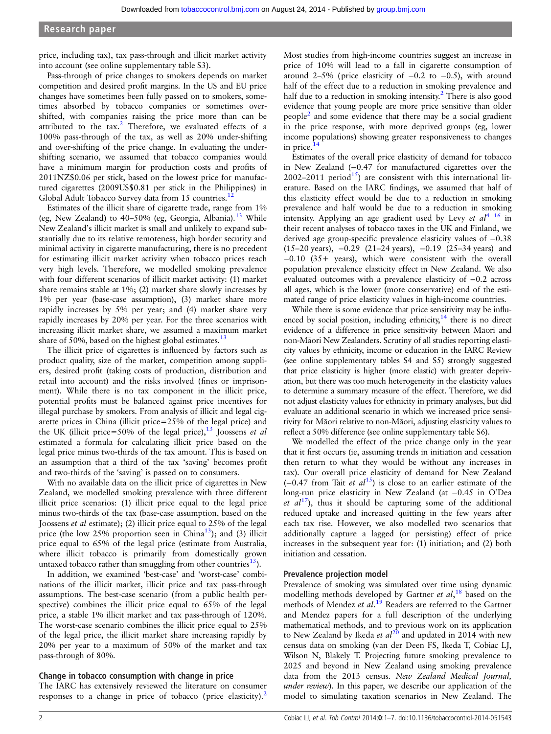price, including tax), tax pass-through and illicit market activity into account (see online supplementary table S3).

Pass-through of price changes to smokers depends on market competition and desired profit margins. In the US and EU price changes have sometimes been fully passed on to smokers, sometimes absorbed by tobacco companies or sometimes overshifted, with companies raising the price more than can be attributed to the tax.<sup>2</sup> Therefore, we evaluated effects of a 100% pass-through of the tax, as well as 20% under-shifting and over-shifting of the price change. In evaluating the undershifting scenario, we assumed that tobacco companies would have a minimum margin for production costs and profits of 2011NZ\$0.06 per stick, based on the lowest price for manufactured cigarettes (2009US\$0.81 per stick in the Philippines) in Global Adult Tobacco Survey data from 15 countries.<sup>1</sup>

Estimates of the illicit share of cigarette trade, range from 1% (eg, New Zealand) to 40-50% (eg, Georgia, Albania).<sup>[13](#page-5-0)</sup> While New Zealand's illicit market is small and unlikely to expand substantially due to its relative remoteness, high border security and minimal activity in cigarette manufacturing, there is no precedent for estimating illicit market activity when tobacco prices reach very high levels. Therefore, we modelled smoking prevalence with four different scenarios of illicit market activity: (1) market share remains stable at 1%; (2) market share slowly increases by 1% per year (base-case assumption), (3) market share more rapidly increases by 5% per year; and (4) market share very rapidly increases by 20% per year. For the three scenarios with increasing illicit market share, we assumed a maximum market share of 50%, based on the highest global estimates.<sup>[13](#page-5-0)</sup>

The illicit price of cigarettes is influenced by factors such as product quality, size of the market, competition among suppliers, desired profit (taking costs of production, distribution and retail into account) and the risks involved (fines or imprisonment). While there is no tax component in the illicit price, potential profits must be balanced against price incentives for illegal purchase by smokers. From analysis of illicit and legal cigarette prices in China (illicit price=25% of the legal price) and the UK (illicit price=50% of the legal price), $13$  Joossens *et al* estimated a formula for calculating illicit price based on the legal price minus two-thirds of the tax amount. This is based on an assumption that a third of the tax 'saving' becomes profit and two-thirds of the 'saving' is passed on to consumers.

With no available data on the illicit price of cigarettes in New Zealand, we modelled smoking prevalence with three different illicit price scenarios: (1) illicit price equal to the legal price minus two-thirds of the tax (base-case assumption, based on the Joossens et al estimate); (2) illicit price equal to 25% of the legal price (the low 25% proportion seen in China<sup>[13](#page-5-0)</sup>); and (3) illicit price equal to 65% of the legal price (estimate from Australia, where illicit tobacco is primarily from domestically grown untaxed tobacco rather than smuggling from other countries<sup>[13](#page-5-0)</sup>).

In addition, we examined 'best-case' and 'worst-case' combinations of the illicit market, illicit price and tax pass-through assumptions. The best-case scenario (from a public health perspective) combines the illicit price equal to 65% of the legal price, a stable 1% illicit market and tax pass-through of 120%. The worst-case scenario combines the illicit price equal to 25% of the legal price, the illicit market share increasing rapidly by 20% per year to a maximum of 50% of the market and tax pass-through of 80%.

# Change in tobacco consumption with change in price

The IARC has extensively reviewed the literature on consumer responses to a change in price of tobacco (price elasticity).<sup>[2](#page-5-0)</sup>

Most studies from high-income countries suggest an increase in price of 10% will lead to a fall in cigarette consumption of around 2–5% (price elasticity of −0.2 to −0.5), with around half of the effect due to a reduction in smoking prevalence and half due to a reduction in smoking intensity. $^2$  There is also good evidence that young people are more price sensitive than older people $^2$  and some evidence that there may be a social gradient in the price response, with more deprived groups (eg, lower income populations) showing greater responsiveness to changes in price. $14$ 

Estimates of the overall price elasticity of demand for tobacco in New Zealand (−0.47 for manufactured cigarettes over the 2002–2011 period $^{15}$  $^{15}$  $^{15}$ ) are consistent with this international literature. Based on the IARC findings, we assumed that half of this elasticity effect would be due to a reduction in smoking prevalence and half would be due to a reduction in smoking intensity. Applying an age gradient used by Levy et  $al<sup>4</sup>$  16 in their recent analyses of tobacco taxes in the UK and Finland, we derived age group-specific prevalence elasticity values of −0.38 (15–20 years), −0.29 (21–24 years), −0.19 (25–34 years) and −0.10 (35+ years), which were consistent with the overall population prevalence elasticity effect in New Zealand. We also evaluated outcomes with a prevalence elasticity of −0.2 across all ages, which is the lower (more conservative) end of the estimated range of price elasticity values in high-income countries.

While there is some evidence that price sensitivity may be influenced by social position, including ethnicity, $14$  there is no direct evidence of a difference in price sensitivity between Maori and non-Maori New Zealanders. Scrutiny of all studies reporting elasticity values by ethnicity, income or education in the IARC Review (see online supplementary tables S4 and S5) strongly suggested that price elasticity is higher (more elastic) with greater deprivation, but there was too much heterogeneity in the elasticity values to determine a summary measure of the effect. Therefore, we did not adjust elasticity values for ethnicity in primary analyses, but did evaluate an additional scenario in which we increased price sensitivity for Maori relative to non-Maori, adjusting elasticity values to reflect a 50% difference (see online supplementary table S6).

We modelled the effect of the price change only in the year that it first occurs (ie, assuming trends in initiation and cessation then return to what they would be without any increases in tax). Our overall price elasticity of demand for New Zealand  $(-0.47)$  from Tait *et al*<sup>15</sup>) is close to an earlier estimate of the long-run price elasticity in New Zealand (at −0.45 in O'Dea et  $d^{17}$  $d^{17}$  $d^{17}$ , thus it should be capturing some of the additional reduced uptake and increased quitting in the few years after each tax rise. However, we also modelled two scenarios that additionally capture a lagged (or persisting) effect of price increases in the subsequent year for: (1) initiation; and (2) both initiation and cessation.

#### Prevalence projection model

Prevalence of smoking was simulated over time using dynamic modelling methods developed by Gartner et  $al$ ,<sup>[18](#page-5-0)</sup> based on the methods of Mendez et al.<sup>[19](#page-5-0)</sup> Readers are referred to the Gartner and Mendez papers for a full description of the underlying mathematical methods, and to previous work on its application to New Zealand by Ikeda et  $al^{20}$  $al^{20}$  $al^{20}$  and updated in 2014 with new census data on smoking (van der Deen FS, Ikeda T, Cobiac LJ, Wilson N, Blakely T. Projecting future smoking prevalence to 2025 and beyond in New Zealand using smoking prevalence data from the 2013 census. New Zealand Medical Journal, under review). In this paper, we describe our application of the model to simulating taxation scenarios in New Zealand. The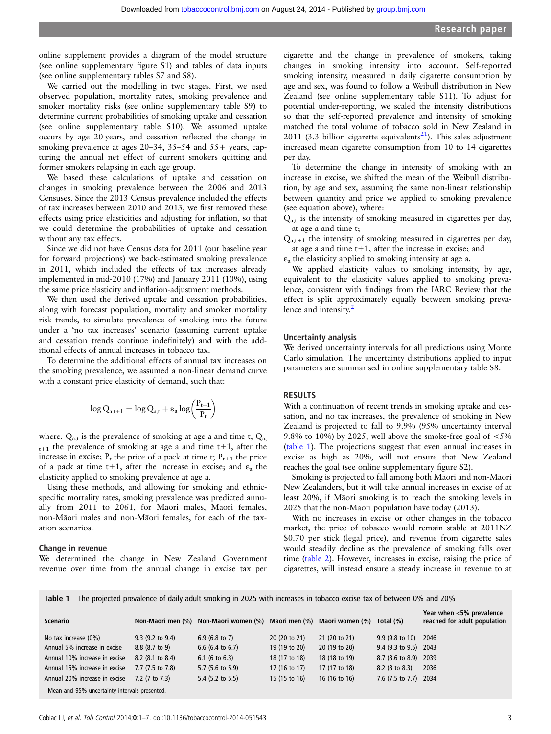online supplement provides a diagram of the model structure (see online supplementary figure S1) and tables of data inputs (see online supplementary tables S7 and S8).

We carried out the modelling in two stages. First, we used observed population, mortality rates, smoking prevalence and smoker mortality risks (see online supplementary table S9) to determine current probabilities of smoking uptake and cessation (see online supplementary table S10). We assumed uptake occurs by age 20 years, and cessation reflected the change in smoking prevalence at ages 20–34, 35–54 and 55+ years, capturing the annual net effect of current smokers quitting and former smokers relapsing in each age group.

We based these calculations of uptake and cessation on changes in smoking prevalence between the 2006 and 2013 Censuses. Since the 2013 Census prevalence included the effects of tax increases between 2010 and 2013, we first removed these effects using price elasticities and adjusting for inflation, so that we could determine the probabilities of uptake and cessation without any tax effects.

Since we did not have Census data for 2011 (our baseline year for forward projections) we back-estimated smoking prevalence in 2011, which included the effects of tax increases already implemented in mid-2010 (17%) and January 2011 (10%), using the same price elasticity and inflation-adjustment methods.

We then used the derived uptake and cessation probabilities, along with forecast population, mortality and smoker mortality risk trends, to simulate prevalence of smoking into the future under a 'no tax increases' scenario (assuming current uptake and cessation trends continue indefinitely) and with the additional effects of annual increases in tobacco tax.

To determine the additional effects of annual tax increases on the smoking prevalence, we assumed a non-linear demand curve with a constant price elasticity of demand, such that:

$$
\log Q_{a,t+1} = \log Q_{a,t} + \epsilon_a \log \biggl( \frac{P_{t+1}}{P_t} \biggr)
$$

where:  $Q_{a,t}$  is the prevalence of smoking at age a and time t;  $Q_{a}$ ,  $t+1$  the prevalence of smoking at age a and time t+1, after the increase in excise;  $P_t$  the price of a pack at time t;  $P_{t+1}$  the price of a pack at time t+1, after the increase in excise; and  $\varepsilon_a$  the elasticity applied to smoking prevalence at age a.

Using these methods, and allowing for smoking and ethnicspecific mortality rates, smoking prevalence was predicted annually from 2011 to 2061, for Māori males, Māori females, non-Maori males and non-Maori females, for each of the taxation scenarios.

#### Change in revenue

We determined the change in New Zealand Government revenue over time from the annual change in excise tax per

cigarette and the change in prevalence of smokers, taking changes in smoking intensity into account. Self-reported smoking intensity, measured in daily cigarette consumption by age and sex, was found to follow a Weibull distribution in New Zealand (see online supplementary table S11). To adjust for potential under-reporting, we scaled the intensity distributions so that the self-reported prevalence and intensity of smoking matched the total volume of tobacco sold in New Zealand in 2011 (3.3 billion cigarette equivalents<sup>[21](#page-5-0)</sup>). This sales adjustment increased mean cigarette consumption from 10 to 14 cigarettes per day.

To determine the change in intensity of smoking with an increase in excise, we shifted the mean of the Weibull distribution, by age and sex, assuming the same non-linear relationship between quantity and price we applied to smoking prevalence (see equation above), where:

 $Q_{a,t}$  is the intensity of smoking measured in cigarettes per day, at age a and time t;

 $Q_{a,t+1}$  the intensity of smoking measured in cigarettes per day, at age a and time  $t+1$ , after the increase in excise; and

 $\varepsilon$ <sub>a</sub> the elasticity applied to smoking intensity at age a.

We applied elasticity values to smoking intensity, by age, equivalent to the elasticity values applied to smoking prevalence, consistent with findings from the IARC Review that the effect is split approximately equally between smoking preva-lence and intensity.<sup>[2](#page-5-0)</sup>

# Uncertainty analysis

We derived uncertainty intervals for all predictions using Monte Carlo simulation. The uncertainty distributions applied to input parameters are summarised in online supplementary table S8.

# RESULTS

With a continuation of recent trends in smoking uptake and cessation, and no tax increases, the prevalence of smoking in New Zealand is projected to fall to 9.9% (95% uncertainty interval 9.8% to 10%) by 2025, well above the smoke-free goal of  $\langle 5\%$ (table 1). The projections suggest that even annual increases in excise as high as 20%, will not ensure that New Zealand reaches the goal (see online supplementary figure S2).

Smoking is projected to fall among both Māori and non-Māori New Zealanders, but it will take annual increases in excise of at least 20%, if Maori smoking is to reach the smoking levels in 2025 that the non-Maori population have today (2013).

With no increases in excise or other changes in the tobacco market, the price of tobacco would remain stable at 2011NZ \$0.70 per stick (legal price), and revenue from cigarette sales would steadily decline as the prevalence of smoking falls over time ([table 2](#page-3-0)). However, increases in excise, raising the price of cigarettes, will instead ensure a steady increase in revenue to at

Table 1 The projected prevalence of daily adult smoking in 2025 with increases in tobacco excise tax of between 0% and 20%

| Scenario                      |                            | Non-Māori men (%) Non-Māori women (%) |               | Māori men (%) Māori women (%) | Total (%)                 | Year when <5% prevalence<br>reached for adult population |
|-------------------------------|----------------------------|---------------------------------------|---------------|-------------------------------|---------------------------|----------------------------------------------------------|
| No tax increase (0%)          | $9.3$ (9.2 to 9.4)         | 6.9 $(6.8 \text{ to } 7)$             | 20 (20 to 21) | 21 (20 to 21)                 | $9.9(9.8 \text{ to } 10)$ | 2046                                                     |
| Annual 5% increase in excise  | 8.8 (8.7 to 9)             | 6.6 (6.4 to 6.7)                      | 19 (19 to 20) | 20 (19 to 20)                 | 9.4 (9.3 to 9.5) 2043     |                                                          |
| Annual 10% increase in excise | 8.2 (8.1 to 8.4)           | 6.1 (6 to 6.3)                        | 18 (17 to 18) | 18 (18 to 19)                 | 8.7 (8.6 to 8.9) 2039     |                                                          |
| Annual 15% increase in excise | $7.7(7.5 \text{ to } 7.8)$ | 5.7 (5.6 to 5.9)                      | 17 (16 to 17) | 17 (17 to 18)                 | 8.2 (8 to 8.3)            | 2036                                                     |
| Annual 20% increase in excise | 7.2 (7 to 7.3)             | 5.4 (5.2 to 5.5)                      | 15 (15 to 16) | 16 (16 to 16)                 | 7.6 (7.5 to 7.7) 2034     |                                                          |
|                               |                            |                                       |               |                               |                           |                                                          |

Mean and 95% uncertainty intervals presented.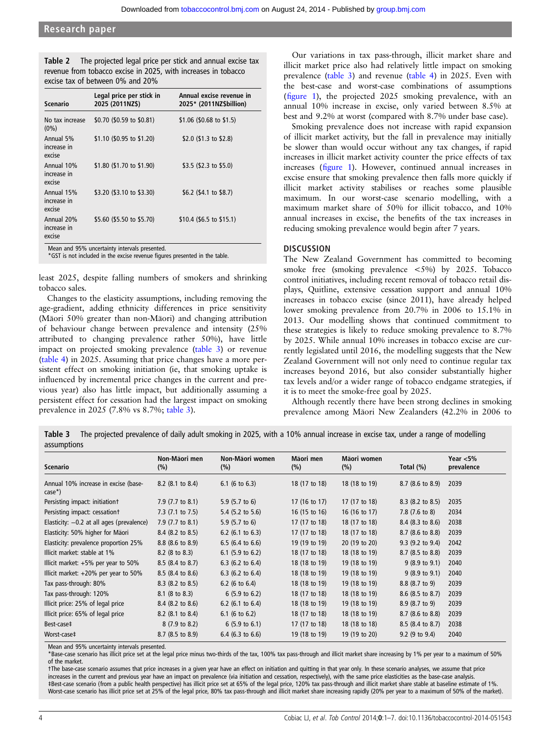<span id="page-3-0"></span>Table 2 The projected legal price per stick and annual excise tax revenue from tobacco excise in 2025, with increases in tobacco excise tax of between 0% and 20%

| <b>Scenario</b>                     | Legal price per stick in<br>2025 (2011NZ\$) | Annual excise revenue in<br>2025* (2011NZ\$billion) |
|-------------------------------------|---------------------------------------------|-----------------------------------------------------|
| No tax increase<br>$(0\%)$          | \$0.70 (\$0.59 to \$0.81)                   | \$1.06 (\$0.68 to \$1.5)                            |
| Annual 5%<br>increase in<br>excise  | \$1.10 (\$0.95 to \$1.20)                   | \$2.0 $(51.3 \text{ to } 52.8)$                     |
| Annual 10%<br>increase in<br>excise | \$1.80 (\$1.70 to \$1.90)                   | \$3.5 $($ \$2.3 to \$5.0)                           |
| Annual 15%<br>increase in<br>excise | \$3.20 (\$3.10 to \$3.30)                   | \$6.2 (\$4.1 to \$8.7)                              |
| Annual 20%<br>increase in<br>excise | \$5.60 (\$5.50 to \$5.70)                   | \$10.4 (\$6.5 to \$15.1)                            |

Mean and 95% uncertainty intervals presented.

\*GST is not included in the excise revenue figures presented in the table.

least 2025, despite falling numbers of smokers and shrinking tobacco sales.

Changes to the elasticity assumptions, including removing the age-gradient, adding ethnicity differences in price sensitivity (Māori 50% greater than non-Māori) and changing attribution of behaviour change between prevalence and intensity (25% attributed to changing prevalence rather 50%), have little impact on projected smoking prevalence (table 3) or revenue ([table 4\)](#page-4-0) in 2025. Assuming that price changes have a more persistent effect on smoking initiation (ie, that smoking uptake is influenced by incremental price changes in the current and previous year) also has little impact, but additionally assuming a persistent effect for cessation had the largest impact on smoking prevalence in 2025 (7.8% vs 8.7%; table 3).

Our variations in tax pass-through, illicit market share and illicit market price also had relatively little impact on smoking prevalence (table 3) and revenue [\(table 4](#page-4-0)) in 2025. Even with the best-case and worst-case combinations of assumptions (fi[gure 1](#page-4-0)), the projected 2025 smoking prevalence, with an annual 10% increase in excise, only varied between 8.5% at best and 9.2% at worst (compared with 8.7% under base case).

Smoking prevalence does not increase with rapid expansion of illicit market activity, but the fall in prevalence may initially be slower than would occur without any tax changes, if rapid increases in illicit market activity counter the price effects of tax increases (fi[gure 1\)](#page-4-0). However, continued annual increases in excise ensure that smoking prevalence then falls more quickly if illicit market activity stabilises or reaches some plausible maximum. In our worst-case scenario modelling, with a maximum market share of 50% for illicit tobacco, and 10% annual increases in excise, the benefits of the tax increases in reducing smoking prevalence would begin after 7 years.

# **DISCUSSION**

The New Zealand Government has committed to becoming smoke free (smoking prevalence <5%) by 2025. Tobacco control initiatives, including recent removal of tobacco retail displays, Quitline, extensive cessation support and annual 10% increases in tobacco excise (since 2011), have already helped lower smoking prevalence from 20.7% in 2006 to 15.1% in 2013. Our modelling shows that continued commitment to these strategies is likely to reduce smoking prevalence to 8.7% by 2025. While annual 10% increases in tobacco excise are currently legislated until 2016, the modelling suggests that the New Zealand Government will not only need to continue regular tax increases beyond 2016, but also consider substantially higher tax levels and/or a wider range of tobacco endgame strategies, if it is to meet the smoke-free goal by 2025.

Although recently there have been strong declines in smoking prevalence among Māori New Zealanders (42.2% in 2006 to

Table 3 The projected prevalence of daily adult smoking in 2025, with a 10% annual increase in excise tax, under a range of modelling assumptions

| <b>Scenario</b>                                   | Non-Māori men<br>(%)        | Non-Māori women<br>$(\% )$  | Māori men<br>(%) | Māori women<br>(%) | Total $(\%)$                | Year $<$ 5%<br>prevalence |
|---------------------------------------------------|-----------------------------|-----------------------------|------------------|--------------------|-----------------------------|---------------------------|
| Annual 10% increase in excise (base-<br>$case*$ ) | 8.2 (8.1 to 8.4)            | 6.1 (6 to 6.3)              | 18 (17 to 18)    | 18 (18 to 19)      | $8.7$ (8.6 to 8.9)          | 2039                      |
| Persisting impact: initiationt                    | 7.9 $(7.7 \text{ to } 8.1)$ | 5.9 $(5.7 \text{ to } 6)$   | 17 (16 to 17)    | 17 (17 to 18)      | $8.3$ (8.2 to 8.5)          | 2035                      |
| Persisting impact: cessationt                     | 7.3 $(7.1 \text{ to } 7.5)$ | 5.4 $(5.2 \text{ to } 5.6)$ | 16 (15 to 16)    | 16 (16 to 17)      | $7.8$ $(7.6 \text{ to } 8)$ | 2034                      |
| Elasticity: -0.2 at all ages (prevalence)         | 7.9 (7.7 to 8.1)            | 5.9 $(5.7 \text{ to } 6)$   | 17 (17 to 18)    | 18 (17 to 18)      | 8.4 (8.3 to 8.6)            | 2038                      |
| Elasticity: 50% higher for Maori                  | 8.4 (8.2 to 8.5)            | 6.2 $(6.1 \text{ to } 6.3)$ | 17 (17 to 18)    | 18 (17 to 18)      | $8.7$ (8.6 to 8.8)          | 2039                      |
| Elasticity: prevalence proportion 25%             | $8.8$ (8.6 to 8.9)          | 6.5 $(6.4 \text{ to } 6.6)$ | 19 (19 to 19)    | 20 (19 to 20)      | $9.3$ (9.2 to 9.4)          | 2042                      |
| Illicit market: stable at 1%                      | 8.2 (8 to 8.3)              | 6.1 $(5.9 \text{ to } 6.2)$ | 18 (17 to 18)    | 18 (18 to 19)      | 8.7 (8.5 to 8.8)            | 2039                      |
| Illicit market: $+5\%$ per year to 50%            | 8.5 (8.4 to 8.7)            | 6.3 $(6.2 \text{ to } 6.4)$ | 18 (18 to 19)    | 19 (18 to 19)      | $9(8.9 \text{ to } 9.1)$    | 2040                      |
| Illicit market: +20% per year to 50%              | 8.5 (8.4 to 8.6)            | 6.3 $(6.2 \text{ to } 6.4)$ | 18 (18 to 19)    | 19 (18 to 19)      | $9(8.9 \text{ to } 9.1)$    | 2040                      |
| Tax pass-through: 80%                             | $8.3$ (8.2 to 8.5)          | 6.2 (6 to $6.4$ )           | 18 (18 to 19)    | 19 (18 to 19)      | 8.8 (8.7 to 9)              | 2039                      |
| Tax pass-through: 120%                            | 8.1 (8 to 8.3)              | $6(5.9 \text{ to } 6.2)$    | 18 (17 to 18)    | 18 (18 to 19)      | $8.6$ (8.5 to 8.7)          | 2039                      |
| Illicit price: 25% of legal price                 | $8.4$ (8.2 to 8.6)          | 6.2 (6.1 to $6.4$ )         | 18 (18 to 19)    | 19 (18 to 19)      | $8.9(8.7)$ to 9)            | 2039                      |
| Illicit price: 65% of legal price                 | 8.2 (8.1 to 8.4)            | $6.1$ (6 to 6.2)            | 18 (17 to 18)    | 18 (18 to 19)      | $8.7$ (8.6 to 8.8)          | 2039                      |
| Best-case‡                                        | $8(7.9 \text{ to } 8.2)$    | $6(5.9 \text{ to } 6.1)$    | 17 (17 to 18)    | 18 (18 to 18)      | 8.5 (8.4 to 8.7)            | 2038                      |
| Worst-case‡                                       | $8.7$ (8.5 to 8.9)          | 6.4 $(6.3 \text{ to } 6.6)$ | 19 (18 to 19)    | 19 (19 to 20)      | $9.2$ (9 to $9.4$ )         | 2040                      |

Mean and 95% uncertainty intervals presented.

\*Base-case scenario has illicit price set at the legal price minus two-thirds of the tax, 100% tax pass-through and illicit market share increasing by 1% per year to a maximum of 50% of the market.

†The base-case scenario assumes that price increases in a given year have an effect on initiation and quitting in that year only. In these scenario analyses, we assume that price increases in the current and previous year have an impact on prevalence (via initiation and cessation, respectively), with the same price elasticities as the base-case analysis. ‡Best-case scenario (from a public health perspective) has illicit price set at 65% of the legal price, 120% tax pass-through and illicit market share stable at baseline estimate of 1%. Worst-case scenario has illicit price set at 25% of the legal price, 80% tax pass-through and illicit market share increasing rapidly (20% per year to a maximum of 50% of the market).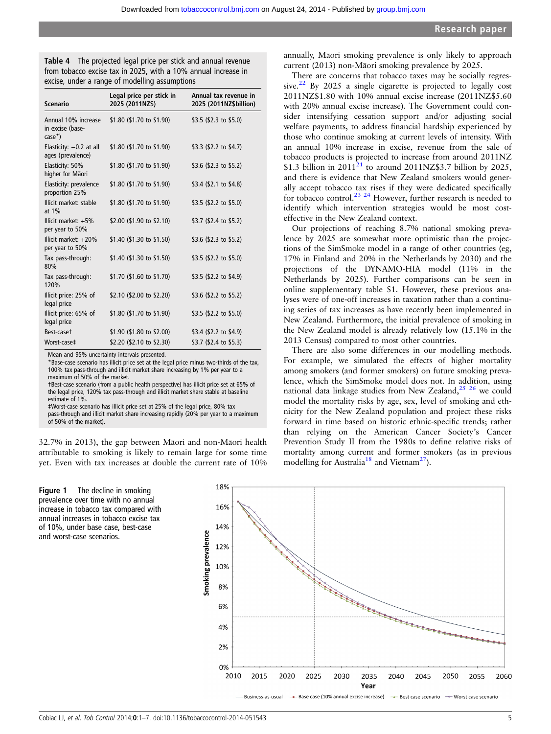<span id="page-4-0"></span>Table 4 The projected legal price per stick and annual revenue from tobacco excise tax in 2025, with a 10% annual increase in excise, under a range of modelling assumptions

| <b>Scenario</b>                                      | Legal price per stick in<br>2025 (2011NZ\$) | Annual tax revenue in<br>2025 (2011NZ\$billion) |
|------------------------------------------------------|---------------------------------------------|-------------------------------------------------|
| Annual 10% increase<br>in excise (base-<br>$case*$ ) | \$1.80 (\$1.70 to \$1.90)                   | \$3.5 (\$2.3 to \$5.0)                          |
| Elasticity: $-0.2$ at all<br>ages (prevalence)       | \$1.80 (\$1.70 to \$1.90)                   | \$3.3 (\$2.2 to \$4.7)                          |
| Elasticity: 50%<br>higher for Maori                  | \$1.80 (\$1.70 to \$1.90)                   | \$3.6 (\$2.3 to \$5.2)                          |
| Elasticity: prevalence<br>proportion 25%             | \$1.80 (\$1.70 to \$1.90)                   | \$3.4 (\$2.1 to \$4.8)                          |
| Illicit market: stable<br>at $1\%$                   | \$1.80 (\$1.70 to \$1.90)                   | \$3.5 (\$2.2 to \$5.0)                          |
| Illicit market: $+5\%$<br>per year to 50%            | \$2.00 (\$1.90 to \$2.10)                   | \$3.7 (\$2.4 to \$5.2)                          |
| Illicit market: $+20%$<br>per year to 50%            | \$1.40 (\$1.30 to \$1.50)                   | \$3.6 (\$2.3 to \$5.2)                          |
| Tax pass-through:<br>80%                             | \$1.40 (\$1.30 to \$1.50)                   | \$3.5 (\$2.2 to \$5.0)                          |
| Tax pass-through:<br>120%                            | \$1.70 (\$1.60 to \$1.70)                   | \$3.5 (\$2.2 to \$4.9)                          |
| Illicit price: 25% of<br>legal price                 | \$2.10 (\$2.00 to \$2.20)                   | \$3.6 (\$2.2 to \$5.2)                          |
| Illicit price: 65% of<br>legal price                 | \$1.80 (\$1.70 to \$1.90)                   | \$3.5 (\$2.2 to \$5.0)                          |
| Best-caset                                           | \$1.90 (\$1.80 to \$2.00)                   | \$3.4 (\$2.2 to \$4.9)                          |
| Worst-case‡                                          | \$2.20 (\$2.10 to \$2.30)                   | \$3.7 (\$2.4 to \$5.3)                          |

Mean and 95% uncertainty intervals presented.

\*Base-case scenario has illicit price set at the legal price minus two-thirds of the tax, 100% tax pass-through and illicit market share increasing by 1% per year to a maximum of 50% of the market.

†Best-case scenario (from a public health perspective) has illicit price set at 65% of the legal price, 120% tax pass-through and illicit market share stable at baseline estimate of 1%.

‡Worst-case scenario has illicit price set at 25% of the legal price, 80% tax

pass-through and illicit market share increasing rapidly (20% per year to a maximum of 50% of the market).

32.7% in 2013), the gap between Maori and non-Maori health attributable to smoking is likely to remain large for some time yet. Even with tax increases at double the current rate of 10%

smoking prevalence

0% 2010

2015

Business-as-usual

2020

2025



modelling for Australia<sup>[18](#page-5-0)</sup> and Vietnam<sup>[27](#page-6-0)</sup>). 18% 16% 14% 12% 10% 8% 6% 4%  $2%$ 

2030

-Base case (10% annual excise increase)

2035

Year

2040

2045

- Best case scenario

2050

2055

- Worst case scenario

annually, Maori smoking prevalence is only likely to approach current (2013) non-Maori smoking prevalence by 2025.

There are concerns that tobacco taxes may be socially regressive. $^{22}$  $^{22}$  $^{22}$  By 2025 a single cigarette is projected to legally cost 2011NZ\$1.80 with 10% annual excise increase (2011NZ\$5.60 with 20% annual excise increase). The Government could consider intensifying cessation support and/or adjusting social welfare payments, to address financial hardship experienced by those who continue smoking at current levels of intensity. With an annual 10% increase in excise, revenue from the sale of tobacco products is projected to increase from around 2011NZ \$1.3 billion in  $2011^{21}$  to around 2011NZ\$3.7 billion by 2025, and there is evidence that New Zealand smokers would generally accept tobacco tax rises if they were dedicated specifically for tobacco control.<sup>[23](#page-5-0)</sup> <sup>24</sup> However, further research is needed to identify which intervention strategies would be most costeffective in the New Zealand context.

Our projections of reaching 8.7% national smoking prevalence by 2025 are somewhat more optimistic than the projections of the SimSmoke model in a range of other countries (eg, 17% in Finland and 20% in the Netherlands by 2030) and the projections of the DYNAMO-HIA model (11% in the Netherlands by 2025). Further comparisons can be seen in online supplementary table S1. However, these previous analyses were of one-off increases in taxation rather than a continuing series of tax increases as have recently been implemented in New Zealand. Furthermore, the initial prevalence of smoking in the New Zealand model is already relatively low (15.1% in the 2013 Census) compared to most other countries.

There are also some differences in our modelling methods. For example, we simulated the effects of higher mortality among smokers (and former smokers) on future smoking prevalence, which the SimSmoke model does not. In addition, using national data linkage studies from New Zealand,<sup>[25 26](#page-6-0)</sup> we could model the mortality risks by age, sex, level of smoking and ethnicity for the New Zealand population and project these risks forward in time based on historic ethnic-specific trends; rather than relying on the American Cancer Society's Cancer Prevention Study II from the 1980s to define relative risks of mortality among current and former smokers (as in previous

2060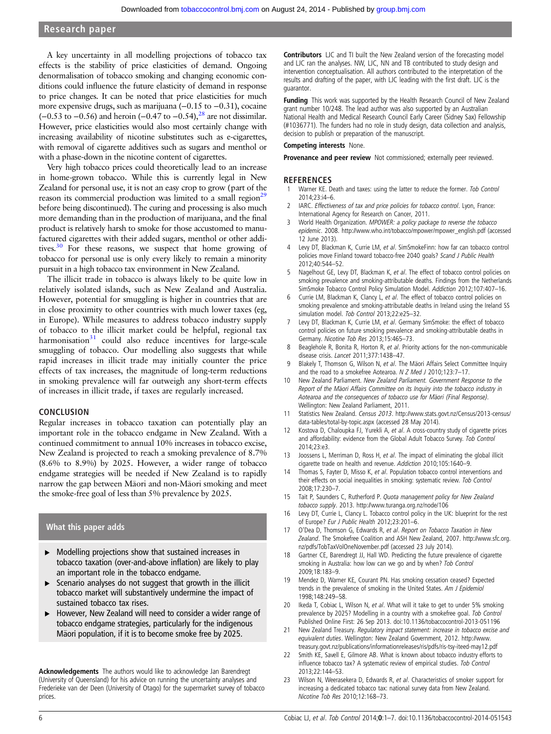# <span id="page-5-0"></span>Research paper

A key uncertainty in all modelling projections of tobacco tax effects is the stability of price elasticities of demand. Ongoing denormalisation of tobacco smoking and changing economic conditions could influence the future elasticity of demand in response to price changes. It can be noted that price elasticities for much more expensive drugs, such as marijuana (−0.15 to −0.31), cocaine (−0.53 to −0.56) and heroin (−0.47 to −0.54),<sup>28</sup> are not dissimilar. However, price elasticities would also most certainly change with increasing availability of nicotine substitutes such as e-cigarettes, with removal of cigarette additives such as sugars and menthol or with a phase-down in the nicotine content of cigarettes.

Very high tobacco prices could theoretically lead to an increase in home-grown tobacco. While this is currently legal in New Zealand for personal use, it is not an easy crop to grow (part of the reason its commercial production was limited to a small region $^{29}$ before being discontinued). The curing and processing is also much more demanding than in the production of marijuana, and the final product is relatively harsh to smoke for those accustomed to manufactured cigarettes with their added sugars, menthol or other additives.[30](#page-6-0) For these reasons, we suspect that home growing of tobacco for personal use is only every likely to remain a minority pursuit in a high tobacco tax environment in New Zealand.

The illicit trade in tobacco is always likely to be quite low in relatively isolated islands, such as New Zealand and Australia. However, potential for smuggling is higher in countries that are in close proximity to other countries with much lower taxes (eg, in Europe). While measures to address tobacco industry supply of tobacco to the illicit market could be helpful, regional tax harmonisation $31$  could also reduce incentives for large-scale smuggling of tobacco. Our modelling also suggests that while rapid increases in illicit trade may initially counter the price effects of tax increases, the magnitude of long-term reductions in smoking prevalence will far outweigh any short-term effects of increases in illicit trade, if taxes are regularly increased.

#### **CONCLUSION**

Regular increases in tobacco taxation can potentially play an important role in the tobacco endgame in New Zealand. With a continued commitment to annual 10% increases in tobacco excise, New Zealand is projected to reach a smoking prevalence of 8.7% (8.6% to 8.9%) by 2025. However, a wider range of tobacco endgame strategies will be needed if New Zealand is to rapidly narrow the gap between Maori and non-Maori smoking and meet the smoke-free goal of less than 5% prevalence by 2025.

# What this paper adds

- ▸ Modelling projections show that sustained increases in tobacco taxation (over-and-above inflation) are likely to play an important role in the tobacco endgame.
- ▸ Scenario analyses do not suggest that growth in the illicit tobacco market will substantively undermine the impact of sustained tobacco tax rises.
- However, New Zealand will need to consider a wider range of tobacco endgame strategies, particularly for the indigenous Maori population, if it is to become smoke free by 2025.

Acknowledgements The authors would like to acknowledge Jan Barendregt (University of Queensland) for his advice on running the uncertainty analyses and Frederieke van der Deen (University of Otago) for the supermarket survey of tobacco prices

Contributors LJC and TI built the New Zealand version of the forecasting model and LJC ran the analyses. NW, LJC, NN and TB contributed to study design and intervention conceptualisation. All authors contributed to the interpretation of the results and drafting of the paper, with LJC leading with the first draft. LJC is the guarantor.

Funding This work was supported by the Health Research Council of New Zealand grant number 10/248. The lead author was also supported by an Australian National Health and Medical Research Council Early Career (Sidney Sax) Fellowship (#1036771). The funders had no role in study design, data collection and analysis, decision to publish or preparation of the manuscript.

# Competing interests None.

Provenance and peer review Not commissioned; externally peer reviewed.

#### **REFERENCES**

- 1 Warner KE. Death and taxes: using the latter to reduce the former. Tob Control 2014;23:i4–6.
- 2 IARC. Effectiveness of tax and price policies for tobacco control. Lyon, France: International Agency for Research on Cancer, 2011.
- 3 World Health Organization. MPOWER: a policy package to reverse the tobacco epidemic. 2008. [http://www.who.int/tobacco/mpower/mpower\\_english.pdf](http://www.who.int/tobacco/mpower/mpower_english.pdf) (accessed 12 June 2013).
- Levy DT, Blackman K, Currie LM, et al. SimSmokeFinn: how far can tobacco control policies move Finland toward tobacco-free 2040 goals? Scand J Public Health 2012;40:544–52.
- Nagelhout GE, Levy DT, Blackman K, et al. The effect of tobacco control policies on smoking prevalence and smoking-attributable deaths. Findings from the Netherlands SimSmoke Tobacco Control Policy Simulation Model. Addiction 2012;107:407–16.
- 6 Currie LM, Blackman K, Clancy L, et al. The effect of tobacco control policies on smoking prevalence and smoking-attributable deaths in Ireland using the Ireland SS simulation model. Tob Control 2013;22:e25–32.
- Levy DT, Blackman K, Currie LM, et al. Germany SimSmoke: the effect of tobacco control policies on future smoking prevalence and smoking-attributable deaths in Germany. Nicotine Tob Res 2013;15:465–73.
- Beaglehole R, Bonita R, Horton R, et al. Priority actions for the non-communicable disease crisis. Lancet 2011;377:1438–47.
- 9 Blakely T, Thomson G, Wilson N, et al. The Maori Affairs Select Committee Inquiry and the road to a smokefree Aotearoa. N Z Med J 2010;123:7–17.
- 10 New Zealand Parliament. New Zealand Parliament. Government Response to the Report of the Maori Affairs Committee on its Inquiry into the tobacco industry in Aotearoa and the consequences of tobacco use for Maori (Final Response). Wellington: New Zealand Parliament, 2011.
- 11 Statistics New Zealand. Census 2013. [http://www.stats.govt.nz/Census/2013-census/](http://www.stats.govt.nz/Census/2013-census/data-tables/total-by-topic.aspx) [data-tables/total-by-topic.aspx](http://www.stats.govt.nz/Census/2013-census/data-tables/total-by-topic.aspx) (accessed 28 May 2014).
- 12 Kostova D, Chaloupka FJ, Yurekli A, et al. A cross-country study of cigarette prices and affordability: evidence from the Global Adult Tobacco Survey. Tob Control 2014;23:e3.
- 13 Joossens L, Merriman D, Ross H, et al. The impact of eliminating the global illicit cigarette trade on health and revenue. Addiction 2010;105:1640–9.
- 14 Thomas S, Fayter D, Misso K, et al. Population tobacco control interventions and their effects on social inequalities in smoking: systematic review. Tob Control 2008;17:230–7.
- 15 Tait P, Saunders C, Rutherford P. Quota management policy for New Zealand tobacco supply. 2013.<http://www.turanga.org.nz/node/106>
- 16 Levy DT, Currie L, Clancy L. Tobacco control policy in the UK: blueprint for the rest of Europe? Eur J Public Health 2012;23:201–6.
- 17 O'Dea D, Thomson G, Edwards R, et al. Report on Tobacco Taxation in New Zealand. The Smokefree Coalition and ASH New Zealand, 2007. [http://www.sfc.org.](http://www.sfc.org.nz/pdfs/TobTaxVolOneNovember.pdf) [nz/pdfs/TobTaxVolOneNovember.pdf](http://www.sfc.org.nz/pdfs/TobTaxVolOneNovember.pdf) (accessed 23 July 2014).
- Gartner CE, Barendregt JJ, Hall WD. Predicting the future prevalence of cigarette smoking in Australia: how low can we go and by when? Tob Control 2009;18:183–9.
- 19 Mendez D, Warner KE, Courant PN. Has smoking cessation ceased? Expected trends in the prevalence of smoking in the United States. Am J Epidemiol 1998;148:249–58.
- 20 Ikeda T, Cobiac L, Wilson N, et al. What will it take to get to under 5% smoking prevalence by 2025? Modelling in a country with a smokefree goal. Tob Control Published Online First: 26 Sep 2013. doi:10.1136/tobaccocontrol-2013-051196
- 21 New Zealand Treasury. Regulatory impact statement: increase in tobacco excise and equivalent duties. Wellington: New Zealand Government, 2012. [http://www.](http://www.treasury.govt.nz/publications/informationreleases/ris/pdfs/ris-tsy-iteed-may12.pdf) [treasury.govt.nz/publications/informationreleases/ris/pdfs/ris-tsy-iteed-may12.pdf](http://www.treasury.govt.nz/publications/informationreleases/ris/pdfs/ris-tsy-iteed-may12.pdf)
- 22 Smith KE, Savell E, Gilmore AB. What is known about tobacco industry efforts to influence tobacco tax? A systematic review of empirical studies. Tob Control 2013;22:144–53.
- 23 Wilson N, Weerasekera D, Edwards R, et al. Characteristics of smoker support for increasing a dedicated tobacco tax: national survey data from New Zealand. Nicotine Tob Res 2010;12:168–73.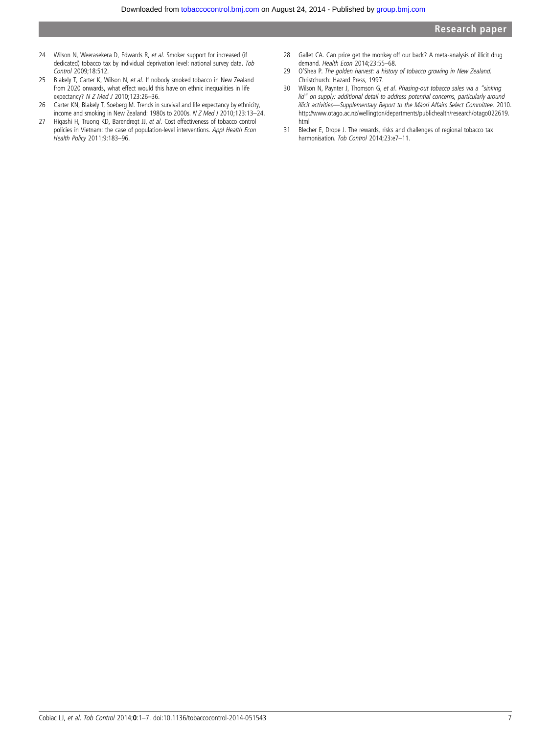- <span id="page-6-0"></span>24 Wilson N, Weerasekera D, Edwards R, et al. Smoker support for increased (if dedicated) tobacco tax by individual deprivation level: national survey data. Tob Control 2009;18:512.
- 25 Blakely T, Carter K, Wilson N, et al. If nobody smoked tobacco in New Zealand from 2020 onwards, what effect would this have on ethnic inequalities in life expectancy? N Z Med J 2010;123:26–36.
- 26 Carter KN, Blakely T, Soeberg M. Trends in survival and life expectancy by ethnicity, income and smoking in New Zealand: 1980s to 2000s. N Z Med J 2010;123:13–24.
- 27 Higashi H, Truong KD, Barendregt JJ, et al. Cost effectiveness of tobacco control policies in Vietnam: the case of population-level interventions. Appl Health Econ Health Policy 2011;9:183–96.
- 28 Gallet CA. Can price get the monkey off our back? A meta-analysis of illicit drug demand. Health Econ 2014;23:55–68.
- 29 O'Shea P. The golden harvest: a history of tobacco growing in New Zealand. Christchurch: Hazard Press, 1997.
- 30 Wilson N, Paynter J, Thomson G, et al. Phasing-out tobacco sales via a "sinking lid" on supply: additional detail to address potential concerns, particularly around illicit activities-Supplementary Report to the Maori Affairs Select Committee. 2010. [http://www.otago.ac.nz/wellington/departments/publichealth/research/otago022619.](http://www.otago.ac.nz/wellington/departments/publichealth/research/otago022619.html) [html](http://www.otago.ac.nz/wellington/departments/publichealth/research/otago022619.html)
- 31 Blecher E, Drope J. The rewards, risks and challenges of regional tobacco tax harmonisation. Tob Control 2014;23:e7-11.